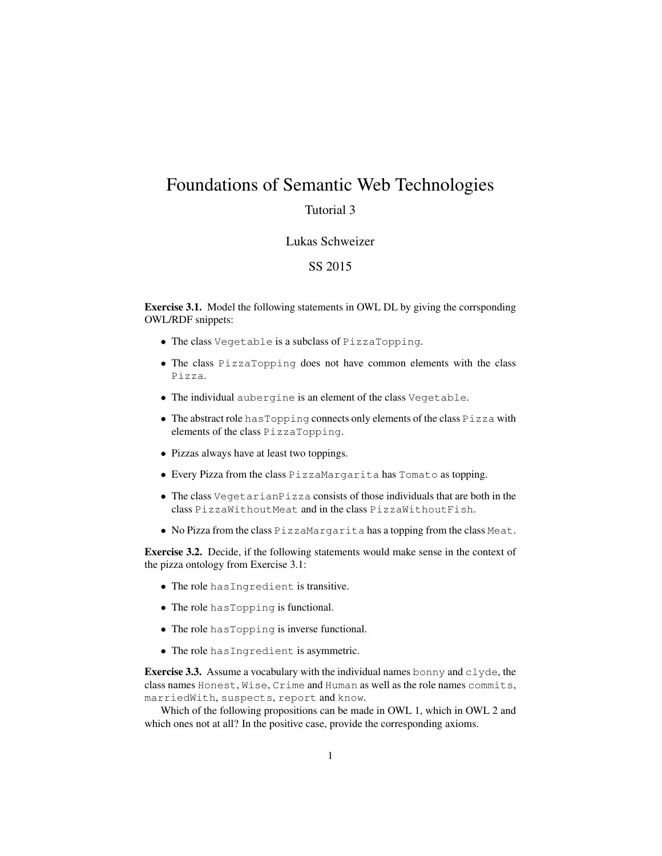# Foundations of Semantic Web Technologies

# Tutorial 3

### Lukas Schweizer

## SS 2015

Exercise 3.1. Model the following statements in OWL DL by giving the corrsponding OWL/RDF snippets:

- The class Vegetable is a subclass of PizzaTopping.
- The class PizzaTopping does not have common elements with the class Pizza.
- The individual aubergine is an element of the class Vegetable.
- The abstract role hasTopping connects only elements of the class Pizza with elements of the class PizzaTopping.
- Pizzas always have at least two toppings.
- Every Pizza from the class PizzaMargarita has Tomato as topping.
- The class VegetarianPizza consists of those individuals that are both in the class PizzaWithoutMeat and in the class PizzaWithoutFish.
- No Pizza from the class PizzaMargarita has a topping from the class Meat.

Exercise 3.2. Decide, if the following statements would make sense in the context of the pizza ontology from Exercise 3.1:

- The role hasIngredient is transitive.
- The role has Topping is functional.
- The role has Topping is inverse functional.
- The role hasIngredient is asymmetric.

**Exercise 3.3.** Assume a vocabulary with the individual names bonny and  $c \lg c$ , the class names Honest, Wise, Crime and Human as well as the role names commits, marriedWith, suspects, report and know.

Which of the following propositions can be made in OWL 1, which in OWL 2 and which ones not at all? In the positive case, provide the corresponding axioms.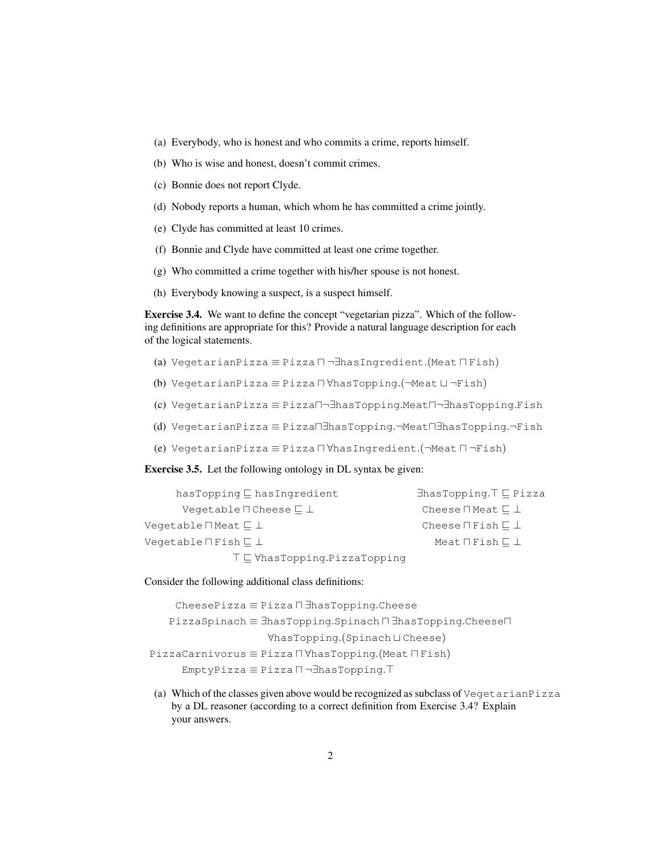- (a) Everybody, who is honest and who commits a crime, reports himself.
- (b) Who is wise and honest, doesn't commit crimes.
- (c) Bonnie does not report Clyde.
- (d) Nobody reports a human, which whom he has committed a crime jointly.
- (e) Clyde has committed at least 10 crimes.
- (f) Bonnie and Clyde have committed at least one crime together.
- (g) Who committed a crime together with his/her spouse is not honest.
- (h) Everybody knowing a suspect, is a suspect himself.

Exercise 3.4. We want to define the concept "vegetarian pizza". Which of the following definitions are appropriate for this? Provide a natural language description for each of the logical statements.

- (a) VegetarianPizza ≡ Pizza  $\Box$ ¬ $\exists$ hasIngredient.(Meat  $\Box$  Fish)
- (b) VegetarianPizza  $\equiv$  Pizza  $\Box$ VhasTopping.( $\neg$ Meat  $\Box$  $\neg$ Fish)
- (c) VegetarianPizza ≡ Pizza $\Box$ ¬∃hasTopping.Meat $\Box$ ¬∃hasTopping.Fish
- (d) VegetarianPizza ≡ Pizzau∃hasTopping.¬Meatu∃hasTopping.¬Fish
- (e) VegetarianPizza  $\equiv$  Pizza  $\Box$   $\forall$ hasIngredient.( $\neg$ Meat  $\Box$   $\neg$ Fish)

Exercise 3.5. Let the following ontology in DL syntax be given:

| $has$ Topping $\sqsubseteq$ has Ingredient      | $\exists$ hasTopping. $\top \sqsubseteq$ Pizza |
|-------------------------------------------------|------------------------------------------------|
| Vegetable $\sqcap$ Cheese $\sqsubset \bot$      | Cheese $\sqcap$ Meat $\sqsubseteq \bot$        |
| Veqetable $\sqcap$ Meat $\sqsubset \bot$        | Cheese $\sqcap$ Fish $\sqsubset \bot$          |
| Vegetable $\Pi$ Fish $\Box$ $\bot$              | Meat $\Pi$ Fish $\Box$ $\bot$                  |
| $T \sqsubseteq \forall$ hasTopping.PizzaTopping |                                                |

#### Consider the following additional class definitions:

CheesePizza ≡ Pizza <sup>∏</sup> ∃hasTopping.Cheese PizzaSpinach ≡ ∃hasTopping.Spinach <sup>n</sup> ∃hasTopping.Cheese<sup>n</sup>  $\forall$ hasTopping.(Spinach ⊔ Cheese) PizzaCarnivorus ≡ Pizza <sup>U</sup>VhasTopping.(Meat U Fish) EmptyPizza ≡ Pizza  $\Box$ ¬∃hasTopping.<sup>T</sup>

(a) Which of the classes given above would be recognized as subclass of VegetarianPizza by a DL reasoner (according to a correct definition from Exercise 3.4? Explain your answers.